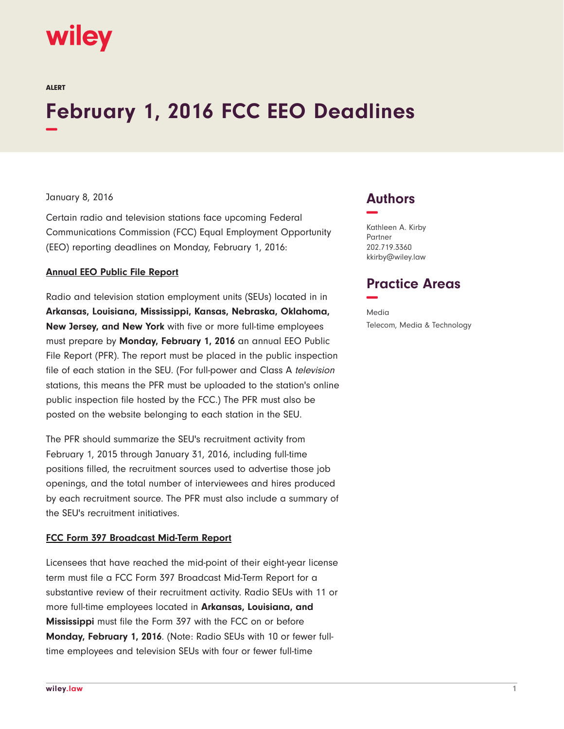

ALERT

# **February 1, 2016 FCC EEO Deadlines −**

### January 8, 2016

Certain radio and television stations face upcoming Federal Communications Commission (FCC) Equal Employment Opportunity (EEO) reporting deadlines on Monday, February 1, 2016:

#### **Annual EEO Public File Report**

Radio and television station employment units (SEUs) located in in **Arkansas, Louisiana, Mississippi, Kansas, Nebraska, Oklahoma, New Jersey, and New York** with five or more full-time employees must prepare by **Monday, February 1, 2016** an annual EEO Public File Report (PFR). The report must be placed in the public inspection file of each station in the SEU. (For full-power and Class A television stations, this means the PFR must be uploaded to the station's online public inspection file hosted by the FCC.) The PFR must also be posted on the website belonging to each station in the SEU.

The PFR should summarize the SEU's recruitment activity from February 1, 2015 through January 31, 2016, including full-time positions filled, the recruitment sources used to advertise those job openings, and the total number of interviewees and hires produced by each recruitment source. The PFR must also include a summary of the SEU's recruitment initiatives.

### **FCC Form 397 Broadcast Mid-Term Report**

Licensees that have reached the mid-point of their eight-year license term must file a FCC Form 397 Broadcast Mid-Term Report for a substantive review of their recruitment activity. Radio SEUs with 11 or more full-time employees located in **Arkansas, Louisiana, and Mississippi** must file the Form 397 with the FCC on or before **Monday, February 1, 2016**. (Note: Radio SEUs with 10 or fewer fulltime employees and television SEUs with four or fewer full-time

## **Authors −**

Kathleen A. Kirby Partner 202.719.3360 kkirby@wiley.law

## **Practice Areas −**

Media Telecom, Media & Technology